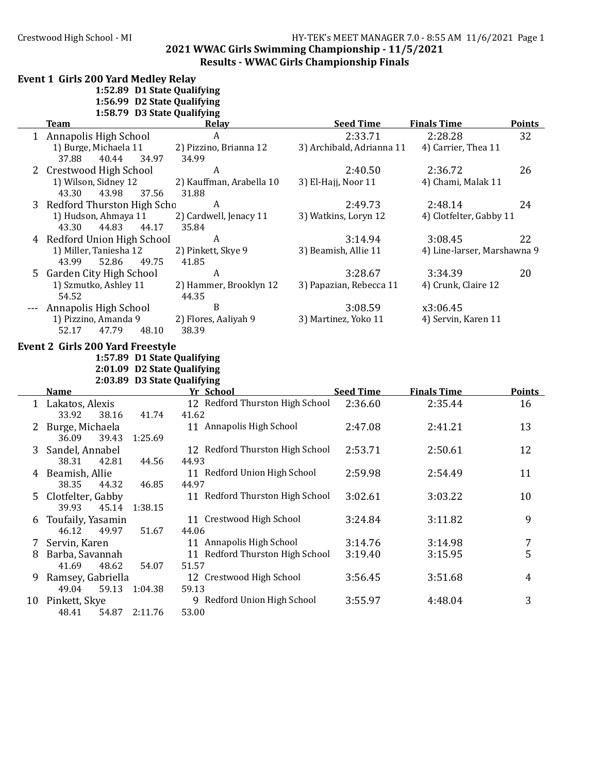#### Crestwood High School - MI <br>HY-TEK's MEET MANAGER 7.0 - 8:55 AM 11/6/2021 Page 1 **2021 WWAC Girls Swimming Championship - 11/5/2021** Results - WWAC Girls Championship Finals

### Event 1 Girls 200 Yard Medley Relay **1:52.89 D1 State Qualifying**

**1:56.99 D2 State Qualifying**

|  |  | 1:58.79 D3 State Qualifying |
|--|--|-----------------------------|
|--|--|-----------------------------|

|    | <b>Team</b>                                                | Relay                           | <b>Seed Time</b>          | <b>Finals Time</b>          | Points        |
|----|------------------------------------------------------------|---------------------------------|---------------------------|-----------------------------|---------------|
|    | 1 Annapolis High School                                    | $\boldsymbol{A}$                | 2:33.71                   | 2:28.28                     | 32            |
|    | 1) Burge, Michaela 11                                      | 2) Pizzino, Brianna 12          | 3) Archibald, Adrianna 11 | 4) Carrier, Thea 11         |               |
|    | 37.88<br>40.44<br>34.97                                    | 34.99                           |                           |                             |               |
| 2  | <b>Crestwood High School</b>                               | A                               | 2:40.50                   | 2:36.72                     | 26            |
|    | 1) Wilson, Sidney 12                                       | 2) Kauffman, Arabella 10        | 3) El-Hajj, Noor 11       | 4) Chami, Malak 11          |               |
|    | 43.30<br>43.98<br>37.56                                    | 31.88                           |                           |                             |               |
| 3  | Redford Thurston High Scho                                 | $\boldsymbol{A}$                | 2:49.73                   | 2:48.14                     | 24            |
|    | 1) Hudson, Ahmaya 11                                       | 2) Cardwell, Jenacy 11          | 3) Watkins, Loryn 12      | 4) Clotfelter, Gabby 11     |               |
|    | 43.30<br>44.83<br>44.17                                    | 35.84                           |                           |                             |               |
|    | 4 Redford Union High School                                | $\boldsymbol{A}$                | 3:14.94                   | 3:08.45                     | 22            |
|    | 1) Miller, Taniesha 12                                     | 2) Pinkett, Skye 9              | 3) Beamish, Allie 11      | 4) Line-larser, Marshawna 9 |               |
|    | 43.99<br>52.86<br>49.75                                    | 41.85                           |                           |                             |               |
| 5  | <b>Garden City High School</b>                             | A                               | 3:28.67                   | 3:34.39                     | 20            |
|    | 1) Szmutko, Ashley 11<br>54.52                             | 2) Hammer, Brooklyn 12<br>44.35 | 3) Papazian, Rebecca 11   | 4) Crunk, Claire 12         |               |
|    | Annapolis High School                                      | B                               | 3:08.59                   | x3:06.45                    |               |
|    | 1) Pizzino, Amanda 9                                       | 2) Flores, Aaliyah 9            | 3) Martinez, Yoko 11      | 4) Servin, Karen 11         |               |
|    | 47.79<br>48.10<br>52.17                                    | 38.39                           |                           |                             |               |
|    |                                                            |                                 |                           |                             |               |
|    | <b>Event 2 Girls 200 Yard Freestyle</b>                    |                                 |                           |                             |               |
|    | 1:57.89 D1 State Qualifying                                |                                 |                           |                             |               |
|    | 2:01.09 D2 State Qualifying<br>2:03.89 D3 State Qualifying |                                 |                           |                             |               |
|    | <b>Name</b>                                                | Yr School                       | <b>Seed Time</b>          | <b>Finals Time</b>          | <b>Points</b> |
|    | 1 Lakatos, Alexis                                          | 12 Redford Thurston High School | 2:36.60                   | 2:35.44                     | 16            |
|    | 33.92<br>38.16<br>41.74                                    | 41.62                           |                           |                             |               |
| 2  | Burge, Michaela                                            | 11 Annapolis High School        | 2:47.08                   | 2:41.21                     | 13            |
|    | 36.09<br>39.43<br>1:25.69                                  |                                 |                           |                             |               |
| 3  | Sandel, Annabel                                            | 12 Redford Thurston High School | 2:53.71                   | 2:50.61                     | 12            |
|    | 38.31<br>42.81<br>44.56                                    | 44.93                           |                           |                             |               |
| 4  | Beamish, Allie                                             | 11 Redford Union High School    | 2:59.98                   | 2:54.49                     | 11            |
|    | 38.35<br>44.32<br>46.85                                    | 44.97                           |                           |                             |               |
| 5. | Clotfelter, Gabby                                          | 11 Redford Thurston High School | 3:02.61                   | 3:03.22                     | 10            |
|    | 39.93<br>45.14<br>1:38.15                                  |                                 |                           |                             |               |
| 6  | Toufaily, Yasamin                                          | 11 Crestwood High School        | 3:24.84                   | 3:11.82                     | 9             |
|    | 46.12<br>49.97<br>51.67                                    | 44.06                           |                           |                             |               |
| 7  | Servin, Karen                                              | 11 Annapolis High School        | 3:14.76                   | 3:14.98                     | 7             |
| 8  | Barba, Savannah                                            | 11 Redford Thurston High School | 3:19.40                   | 3:15.95                     | 5             |
|    | 48.62<br>41.69<br>54.07                                    | 51.57                           |                           |                             |               |
| 9  | Ramsey, Gabriella                                          | 12 Crestwood High School        | 3:56.45                   | 3:51.68                     | 4             |
|    | 49.04<br>59.13<br>1:04.38                                  | 59.13                           |                           |                             |               |
|    | 10 Pinkett, Skye                                           | 9 Redford Union High School     | 3:55.97                   | 4:48.04                     | 3             |
|    | 54.87<br>2:11.76<br>48.41                                  | 53.00                           |                           |                             |               |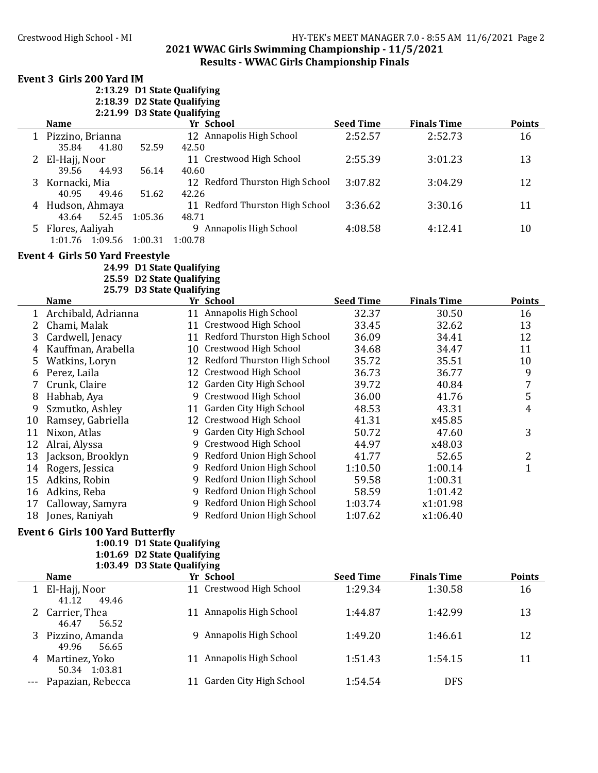#### Crestwood High School - MI **HY-TEK's MEET MANAGER 7.0 - 8:55 AM 11/6/2021** Page 2 **2021 WWAC Girls Swimming Championship - 11/5/2021 Results - WWAC Girls Championship Finals**

#### Event 3 Girls 200 Yard IM

50.34 1:03.81<br>Papazian, Rebecca

|              |                                                           | 2:13.29 D1 State Qualifying                            |                  |                                 |                  |                    |                  |
|--------------|-----------------------------------------------------------|--------------------------------------------------------|------------------|---------------------------------|------------------|--------------------|------------------|
|              |                                                           | 2:18.39 D2 State Qualifying                            |                  |                                 |                  |                    |                  |
|              |                                                           | 2:21.99 D3 State Qualifying                            |                  |                                 |                  |                    |                  |
|              | <b>Name</b>                                               |                                                        |                  | <b>Yr School</b>                | <b>Seed Time</b> | <b>Finals Time</b> | <b>Points</b>    |
|              | 1 Pizzino, Brianna<br>35.84<br>41.80                      | 52.59                                                  | 42.50            | 12 Annapolis High School        | 2:52.57          | 2:52.73            | 16               |
|              | 2 El-Hajj, Noor<br>39.56<br>44.93                         | 56.14                                                  | 40.60            | 11 Crestwood High School        | 2:55.39          | 3:01.23            | 13               |
| 3            | Kornacki, Mia<br>40.95<br>49.46                           | 51.62                                                  |                  | 12 Redford Thurston High School | 3:07.82          | 3:04.29            | 12               |
|              | 4 Hudson, Ahmaya                                          |                                                        | 42.26            | 11 Redford Thurston High School | 3:36.62          | 3:30.16            | 11               |
|              | 43.64<br>52.45<br>5 Flores, Aaliyah<br>1:01.76<br>1:09.56 | 1:05.36<br>1:00.31                                     | 48.71<br>1:00.78 | 9 Annapolis High School         | 4:08.58          | 4:12.41            | 10               |
|              | <b>Event 4 Girls 50 Yard Freestyle</b>                    |                                                        |                  |                                 |                  |                    |                  |
|              |                                                           | 24.99 D1 State Qualifying                              |                  |                                 |                  |                    |                  |
|              |                                                           | 25.59 D2 State Qualifying<br>25.79 D3 State Qualifying |                  |                                 |                  |                    |                  |
|              | <b>Name</b>                                               |                                                        |                  | Yr School                       | <b>Seed Time</b> | <b>Finals Time</b> | <b>Points</b>    |
| $\mathbf{1}$ | Archibald, Adrianna                                       |                                                        |                  | 11 Annapolis High School        | 32.37            | 30.50              | 16               |
| 2            | Chami, Malak                                              |                                                        |                  | 11 Crestwood High School        | 33.45            | 32.62              | 13               |
|              |                                                           |                                                        |                  | 11 Redford Thurston High School | 36.09            |                    | 12               |
| 3            | Cardwell, Jenacy                                          |                                                        |                  |                                 |                  | 34.41              |                  |
| 4            | Kauffman, Arabella                                        |                                                        |                  | 10 Crestwood High School        | 34.68            | 34.47              | 11               |
| 5            | Watkins, Loryn                                            |                                                        |                  | 12 Redford Thurston High School | 35.72            | 35.51              | 10               |
| 6            | Perez, Laila                                              |                                                        |                  | 12 Crestwood High School        | 36.73            | 36.77              | 9                |
| 7            | Crunk, Claire                                             |                                                        |                  | 12 Garden City High School      | 39.72            | 40.84              | $\sqrt{7}$       |
| 8            | Habhab, Aya                                               |                                                        |                  | 9 Crestwood High School         | 36.00            | 41.76              | $\mathsf S$      |
| 9            | Szmutko, Ashley                                           |                                                        |                  | 11 Garden City High School      | 48.53            | 43.31              | $\overline{4}$   |
| 10           | Ramsey, Gabriella                                         |                                                        |                  | 12 Crestwood High School        | 41.31            | x45.85             |                  |
| 11           | Nixon, Atlas                                              |                                                        |                  | 9 Garden City High School       | 50.72            | 47.60              | 3                |
| 12           | Alrai, Alyssa                                             |                                                        |                  | 9 Crestwood High School         | 44.97            | x48.03             |                  |
| 13           | Jackson, Brooklyn                                         |                                                        |                  | 9 Redford Union High School     | 41.77            | 52.65              | $\boldsymbol{2}$ |
| 14           | Rogers, Jessica                                           |                                                        |                  | 9 Redford Union High School     | 1:10.50          | 1:00.14            | $\mathbf{1}$     |
| 15           | Adkins, Robin                                             |                                                        |                  | 9 Redford Union High School     | 59.58            | 1:00.31            |                  |
| 16           |                                                           |                                                        |                  | 9 Redford Union High School     | 58.59            | 1:01.42            |                  |
|              | Adkins, Reba                                              |                                                        |                  |                                 |                  |                    |                  |
| 17           | Calloway, Samyra                                          |                                                        |                  | 9 Redford Union High School     | 1:03.74          | x1:01.98           |                  |
| 18           | Jones, Raniyah                                            |                                                        |                  | 9 Redford Union High School     | 1:07.62          | x1:06.40           |                  |
|              | <b>Event 6 Girls 100 Yard Butterfly</b>                   |                                                        |                  |                                 |                  |                    |                  |
|              |                                                           | 1:00.19 D1 State Qualifying                            |                  |                                 |                  |                    |                  |
|              |                                                           | 1:01.69 D2 State Qualifying                            |                  |                                 |                  |                    |                  |
|              |                                                           | 1:03.49 D3 State Qualifying                            |                  |                                 |                  |                    |                  |
|              | <b>Name</b>                                               |                                                        |                  | Yr School                       | <b>Seed Time</b> | <b>Finals Time</b> | <b>Points</b>    |
|              | 1 El-Hajj, Noor<br>49.46<br>41.12                         |                                                        |                  | 11 Crestwood High School        | 1:29.34          | 1:30.58            | 16               |
| 2            | Carrier, Thea<br>46.47<br>56.52                           |                                                        |                  | 11 Annapolis High School        | 1:44.87          | 1:42.99            | 13               |
| 3            | Pizzino, Amanda<br>49.96<br>56.65                         |                                                        |                  | 9 Annapolis High School         | 1:49.20          | 1:46.61            | 12               |

4 Martinez, Yoko 11 Annapolis High School 1:51.43 1:54.15 11

11 Garden City High School 1:54.54 DFS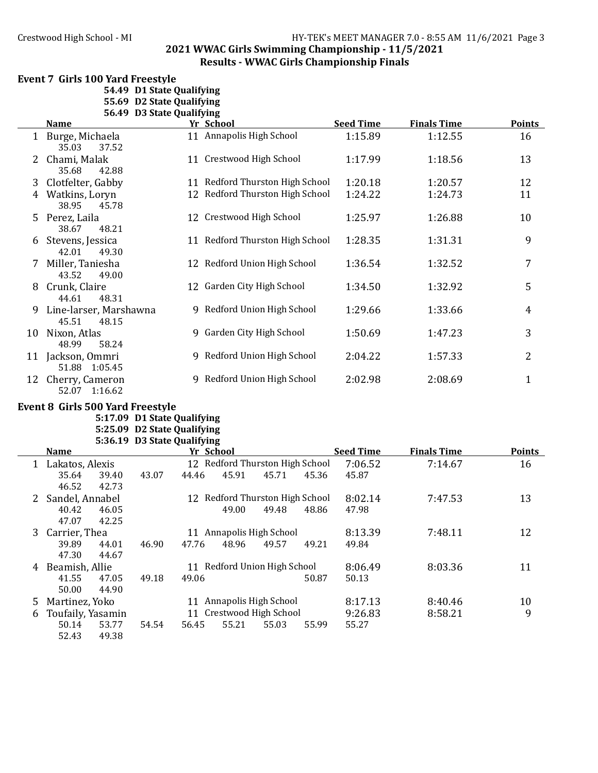#### Crestwood High School - MI <br>HY-TEK's MEET MANAGER 7.0 - 8:55 AM 11/6/2021 Page 3 **2021 WWAC Girls Swimming Championship - 11/5/2021 Results - WWAC Girls Championship Finals**

#### Event 7 Girls 100 Yard Freestyle

**54.49 D1 State Qualifying 55.69 D2 State Qualifying**<br>**56.49 D3 State Qualifying** 

|  |  | 56.49 D3 State Qualifying |
|--|--|---------------------------|
|--|--|---------------------------|

|    | $\boldsymbol{\nu}$ $\boldsymbol{\nu}$ $\boldsymbol{\nu}$ $\boldsymbol{\mu}$ $\boldsymbol{\nu}$ $\boldsymbol{\nu}$ $\boldsymbol{\nu}$ $\boldsymbol{\nu}$ $\boldsymbol{\nu}$ $\boldsymbol{\nu}$ $\boldsymbol{\nu}$ |                                 |                  |                    |               |
|----|------------------------------------------------------------------------------------------------------------------------------------------------------------------------------------------------------------------|---------------------------------|------------------|--------------------|---------------|
|    | <b>Name</b>                                                                                                                                                                                                      | Yr School                       | <b>Seed Time</b> | <b>Finals Time</b> | <b>Points</b> |
|    | 1 Burge, Michaela<br>37.52<br>35.03                                                                                                                                                                              | 11 Annapolis High School        | 1:15.89          | 1:12.55            | 16            |
| 2  | Chami, Malak<br>42.88<br>35.68                                                                                                                                                                                   | 11 Crestwood High School        | 1:17.99          | 1:18.56            | 13            |
| 3  | Clotfelter, Gabby                                                                                                                                                                                                | 11 Redford Thurston High School | 1:20.18          | 1:20.57            | 12            |
| 4  | Watkins, Loryn<br>38.95<br>45.78                                                                                                                                                                                 | 12 Redford Thurston High School | 1:24.22          | 1:24.73            | 11            |
| 5. | Perez, Laila<br>38.67<br>48.21                                                                                                                                                                                   | 12 Crestwood High School        | 1:25.97          | 1:26.88            | 10            |
| 6  | Stevens, Jessica<br>42.01<br>49.30                                                                                                                                                                               | 11 Redford Thurston High School | 1:28.35          | 1:31.31            | 9             |
| 7  | Miller, Taniesha<br>49.00<br>43.52                                                                                                                                                                               | 12 Redford Union High School    | 1:36.54          | 1:32.52            | 7             |
| 8  | Crunk, Claire<br>44.61<br>48.31                                                                                                                                                                                  | 12 Garden City High School      | 1:34.50          | 1:32.92            | 5             |
| 9  | Line-larser, Marshawna<br>45.51<br>48.15                                                                                                                                                                         | 9 Redford Union High School     | 1:29.66          | 1:33.66            | 4             |
| 10 | Nixon, Atlas<br>48.99<br>58.24                                                                                                                                                                                   | 9 Garden City High School       | 1:50.69          | 1:47.23            | 3             |
| 11 | Jackson, Ommri<br>51.88 1:05.45                                                                                                                                                                                  | 9 Redford Union High School     | 2:04.22          | 1:57.33            | 2             |
| 12 | Cherry, Cameron<br>52.07 1:16.62                                                                                                                                                                                 | 9 Redford Union High School     | 2:02.98          | 2:08.69            | $\mathbf{1}$  |

#### Event 8 Girls 500 Yard Freestyle

**5:17.09 D1 State Qualifying 5:25.09 D2 State Qualifying 5:36.19 D3 State Qualifying**

|   | <b>Name</b>       |       | Yr School |       |                                 |       | <b>Seed Time</b> | <b>Finals Time</b> | <b>Points</b> |
|---|-------------------|-------|-----------|-------|---------------------------------|-------|------------------|--------------------|---------------|
| 1 | Lakatos, Alexis   |       |           |       | 12 Redford Thurston High School |       | 7:06.52          | 7:14.67            | 16            |
|   | 35.64<br>39.40    | 43.07 | 44.46     | 45.91 | 45.71                           | 45.36 | 45.87            |                    |               |
|   | 46.52<br>42.73    |       |           |       |                                 |       |                  |                    |               |
|   | Sandel, Annabel   |       |           |       | 12 Redford Thurston High School |       | 8:02.14          | 7:47.53            | 13            |
|   | 40.42<br>46.05    |       |           | 49.00 | 49.48                           | 48.86 | 47.98            |                    |               |
|   | 47.07<br>42.25    |       |           |       |                                 |       |                  |                    |               |
| 3 | Carrier, Thea     |       |           |       | 11 Annapolis High School        |       | 8:13.39          | 7:48.11            | 12            |
|   | 39.89<br>44.01    | 46.90 | 47.76     | 48.96 | 49.57                           | 49.21 | 49.84            |                    |               |
|   | 47.30<br>44.67    |       |           |       |                                 |       |                  |                    |               |
| 4 | Beamish, Allie    |       |           |       | 11 Redford Union High School    |       | 8:06.49          | 8:03.36            | 11            |
|   | 41.55<br>47.05    | 49.18 | 49.06     |       |                                 | 50.87 | 50.13            |                    |               |
|   | 50.00<br>44.90    |       |           |       |                                 |       |                  |                    |               |
| 5 | Martinez, Yoko    |       | 11        |       | Annapolis High School           |       | 8:17.13          | 8:40.46            | 10            |
| 6 | Toufaily, Yasamin |       |           |       | 11 Crestwood High School        |       | 9:26.83          | 8:58.21            | 9             |
|   | 53.77<br>50.14    | 54.54 | 56.45     | 55.21 | 55.03                           | 55.99 | 55.27            |                    |               |
|   | 52.43<br>49.38    |       |           |       |                                 |       |                  |                    |               |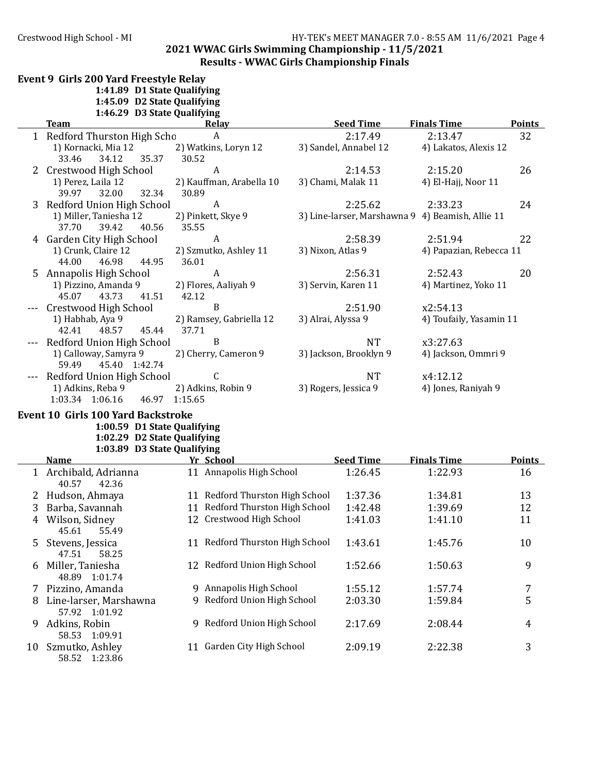# Crestwood High School - MI HY-TEK's MEET MANAGER 7.0 - 8:55 AM 11/6/2021 Page 4 **2021 WWAC Girls Swimming Championship - 11/5/2021** Results - WWAC Girls Championship Finals

|    | Event 9 Girls 200 Yard Freestyle Relay            |                                 |                                                  |                         |                |
|----|---------------------------------------------------|---------------------------------|--------------------------------------------------|-------------------------|----------------|
|    | 1:41.89 D1 State Qualifying                       |                                 |                                                  |                         |                |
|    | 1:45.09 D2 State Qualifying                       |                                 |                                                  |                         |                |
|    | 1:46.29 D3 State Qualifying                       |                                 |                                                  |                         |                |
|    | Team                                              | Relav                           | <b>Seed Time</b>                                 | <b>Finals Time</b>      | <b>Points</b>  |
|    | 1 Redford Thurston High Scho                      | A                               | 2:17.49                                          | 2:13.47                 | 32             |
|    | 1) Kornacki, Mia 12                               | 2) Watkins, Loryn 12            | 3) Sandel, Annabel 12                            | 4) Lakatos, Alexis 12   |                |
|    | 34.12<br>35.37<br>33.46                           | 30.52                           |                                                  |                         |                |
|    | 2 Crestwood High School                           | A                               | 2:14.53                                          | 2:15.20                 | 26             |
|    | 1) Perez, Laila 12                                | 2) Kauffman, Arabella 10        | 3) Chami, Malak 11                               | 4) El-Hajj, Noor 11     |                |
|    | 39.97<br>32.00<br>32.34                           | 30.89                           |                                                  |                         |                |
|    | Redford Union High School                         | A                               | 2:25.62                                          | 2:33.23                 | 24             |
|    | 1) Miller, Taniesha 12<br>37.70<br>39.42<br>40.56 | 2) Pinkett, Skye 9<br>35.55     | 3) Line-larser, Marshawna 9 4) Beamish, Allie 11 |                         |                |
|    | 4 Garden City High School                         | $\boldsymbol{A}$                | 2:58.39                                          | 2:51.94                 | 22             |
|    | 1) Crunk, Claire 12                               | 2) Szmutko, Ashley 11           | 3) Nixon, Atlas 9                                | 4) Papazian, Rebecca 11 |                |
|    | 44.00<br>46.98<br>44.95                           | 36.01                           |                                                  |                         |                |
|    | 5 Annapolis High School                           | $\boldsymbol{A}$                | 2:56.31                                          | 2:52.43                 | 20             |
|    | 1) Pizzino, Amanda 9                              | 2) Flores, Aaliyah 9            | 3) Servin, Karen 11                              | 4) Martinez, Yoko 11    |                |
|    | 43.73<br>41.51<br>45.07                           | 42.12                           |                                                  |                         |                |
|    | Crestwood High School                             | $\mathbf B$                     | 2:51.90                                          | x2:54.13                |                |
|    | 1) Habhab, Aya 9                                  | 2) Ramsey, Gabriella 12         | 3) Alrai, Alyssa 9                               | 4) Toufaily, Yasamin 11 |                |
|    | 42.41<br>48.57<br>45.44                           | 37.71                           |                                                  |                         |                |
|    | Redford Union High School                         | $\, {\bf B}$                    | <b>NT</b>                                        | x3:27.63                |                |
|    | 1) Calloway, Samyra 9                             | 2) Cherry, Cameron 9            | 3) Jackson, Brooklyn 9                           | 4) Jackson, Ommri 9     |                |
|    | 59.49<br>45.40 1:42.74                            |                                 |                                                  |                         |                |
|    | Redford Union High School                         | C                               | <b>NT</b>                                        | x4:12.12                |                |
|    | 1) Adkins, Reba 9                                 | 2) Adkins, Robin 9              | 3) Rogers, Jessica 9                             | 4) Jones, Raniyah 9     |                |
|    | 1:03.34 1:06.16                                   | 46.97 1:15.65                   |                                                  |                         |                |
|    | <b>Event 10 Girls 100 Yard Backstroke</b>         |                                 |                                                  |                         |                |
|    | 1:00.59 D1 State Qualifying                       |                                 |                                                  |                         |                |
|    | 1:02.29 D2 State Qualifying                       |                                 |                                                  |                         |                |
|    | 1:03.89 D3 State Qualifying                       |                                 |                                                  |                         |                |
|    | <b>Name</b>                                       | Yr School                       | <b>Seed Time</b>                                 | <b>Finals Time</b>      | <b>Points</b>  |
|    | 1 Archibald, Adrianna                             | 11 Annapolis High School        | 1:26.45                                          | 1:22.93                 | 16             |
|    | 40.57<br>42.36                                    |                                 |                                                  |                         |                |
| 2  | Hudson, Ahmaya                                    | 11 Redford Thurston High School | 1:37.36                                          | 1:34.81                 | 13             |
| 3  | Barba, Savannah                                   | 11 Redford Thurston High School | 1:42.48                                          | 1:39.69                 | 12             |
|    | 4 Wilson, Sidney<br>45.61<br>55.49                | 12 Crestwood High School        | 1:41.03                                          | 1:41.10                 | 11             |
| 5. | Stevens, Jessica<br>47.51<br>58.25                | 11 Redford Thurston High School | 1:43.61                                          | 1:45.76                 | 10             |
|    |                                                   | 12 Redford Union High School    |                                                  |                         |                |
| 6  | Miller, Taniesha<br>48.89 1:01.74                 |                                 | 1:52.66                                          | 1:50.63                 | 9              |
|    | 7 Pizzino, Amanda                                 | 9 Annapolis High School         | 1:55.12                                          | 1:57.74                 | 7              |
|    | 8 Line-larser, Marshawna                          | 9 Redford Union High School     | 2:03.30                                          | 1:59.84                 | 5              |
|    | 57.92 1:01.92                                     |                                 |                                                  |                         |                |
| 9  | Adkins, Robin<br>58.53 1:09.91                    | 9 Redford Union High School     | 2:17.69                                          | 2:08.44                 | $\overline{4}$ |
|    | 10 Szmutko, Ashley<br>58.52 1:23.86               | 11 Garden City High School      | 2:09.19                                          | 2:22.38                 | 3              |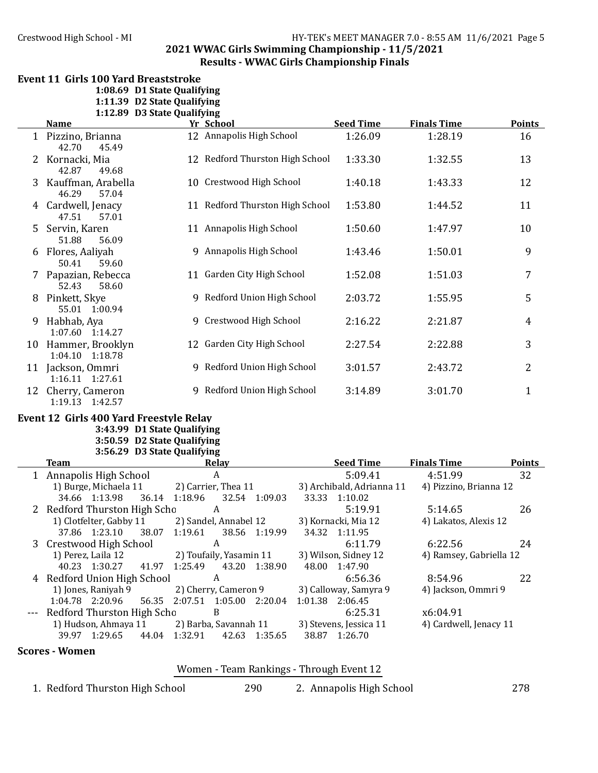#### Crestwood High School - MI **HY-TEK's MEET MANAGER 7.0 - 8:55 AM 11/6/2021** Page 5 **2021 WWAC Girls Swimming Championship - 11/5/2021 Results - WWAC Girls Championship Finals**

# Event 11 Girls 100 Yard Breaststroke

**1:08.69 D1 State Qualifying**

**1:11.39 D2 State Qualifying 1:12.89 D3 State Qualifying**

|    | <b>Name</b>                           | Yr School                       | <b>Seed Time</b> | <b>Finals Time</b> | <b>Points</b> |
|----|---------------------------------------|---------------------------------|------------------|--------------------|---------------|
|    | 1 Pizzino, Brianna<br>42.70<br>45.49  | 12 Annapolis High School        | 1:26.09          | 1:28.19            | 16            |
| 2  | Kornacki, Mia<br>42.87<br>49.68       | 12 Redford Thurston High School | 1:33.30          | 1:32.55            | 13            |
| 3  | Kauffman, Arabella<br>46.29<br>57.04  | 10 Crestwood High School        | 1:40.18          | 1:43.33            | 12            |
| 4  | Cardwell, Jenacy<br>47.51<br>57.01    | 11 Redford Thurston High School | 1:53.80          | 1:44.52            | 11            |
| 5  | Servin, Karen<br>56.09<br>51.88       | 11 Annapolis High School        | 1:50.60          | 1:47.97            | 10            |
| 6  | Flores, Aaliyah<br>50.41<br>59.60     | 9 Annapolis High School         | 1:43.46          | 1:50.01            | 9             |
| 7  | Papazian, Rebecca<br>52.43<br>58.60   | 11 Garden City High School      | 1:52.08          | 1:51.03            | 7             |
| 8  | Pinkett, Skye<br>55.01 1:00.94        | 9 Redford Union High School     | 2:03.72          | 1:55.95            | 5             |
| 9  | Habhab, Aya<br>1:07.60 1:14.27        | 9 Crestwood High School         | 2:16.22          | 2:21.87            | 4             |
| 10 | Hammer, Brooklyn<br>1:04.10 1:18.78   | 12 Garden City High School      | 2:27.54          | 2:22.88            | 3             |
|    | 11 Jackson, Ommri<br>1:16.11 1:27.61  | 9 Redford Union High School     | 3:01.57          | 2:43.72            | 2             |
|    | 12 Cherry, Cameron<br>1:19.13 1:42.57 | 9 Redford Union High School     | 3:14.89          | 3:01.70            | $\mathbf{1}$  |

#### Event 12 Girls 400 Yard Freestyle Relay

**3:43.99 D1 State Qualifying 3:50.59 D2 State Qualifying**

# **3:56.29 D3 State Qualifying**

| <b>Team</b>                    | Relay                                | <b>Seed Time</b>          | <b>Finals Time</b><br><b>Points</b> |
|--------------------------------|--------------------------------------|---------------------------|-------------------------------------|
| 1 Annapolis High School        | A                                    | 5:09.41                   | 32<br>4:51.99                       |
| 1) Burge, Michaela 11          | 2) Carrier, Thea 11                  | 3) Archibald, Adrianna 11 | 4) Pizzino, Brianna 12              |
| 34.66 1:13.98<br>36.14         | 1:18.96<br>32.54 1:09.03             | 33.33 1:10.02             |                                     |
| 2 Redford Thurston High Scho   | A                                    | 5:19.91                   | 26<br>5:14.65                       |
| 1) Clotfelter, Gabby 11        | 2) Sandel, Annabel 12                | 3) Kornacki, Mia 12       | 4) Lakatos, Alexis 12               |
| 37.86 1:23.10                  | 38.07 1:19.61<br>38.56 1:19.99       | 34.32 1:11.95             |                                     |
| 3 Crestwood High School        | A                                    | 6:11.79                   | 6:22.56<br>24                       |
| 1) Perez, Laila 12             | 2) Toufaily, Yasamin 11              | 3) Wilson, Sidney 12      | 4) Ramsey, Gabriella 12             |
| 40.23 1:30.27 41.97            | 1:25.49<br>43.20<br>1:38.90          | 48.00<br>1:47.90          |                                     |
| 4 Redford Union High School    | A                                    | 6:56.36                   | 22<br>8:54.96                       |
| 1) Jones, Raniyah 9            | 2) Cherry, Cameron 9                 | 3) Calloway, Samyra 9     | 4) Jackson, Ommri 9                 |
| 1:04.78 2:20.96                | 56.35 2:07.51<br>$1:05.00$ $2:20.04$ | 1:01.38 2:06.45           |                                     |
| --- Redford Thurston High Scho | B                                    | 6:25.31                   | x6:04.91                            |
| 1) Hudson, Ahmaya 11           | 2) Barba, Savannah 11                | 3) Stevens, Jessica 11    | 4) Cardwell, Jenacy 11              |
| 44.04<br>39.97 1:29.65         | 1:32.91<br>42.63 1:35.65             | 38.87<br>1:26.70          |                                     |

# **Scores** - Women

| Women - Team Rankings - Through Event 12 |  |  |
|------------------------------------------|--|--|

1. Redford Thurston High School 290 2. Annapolis High School 278